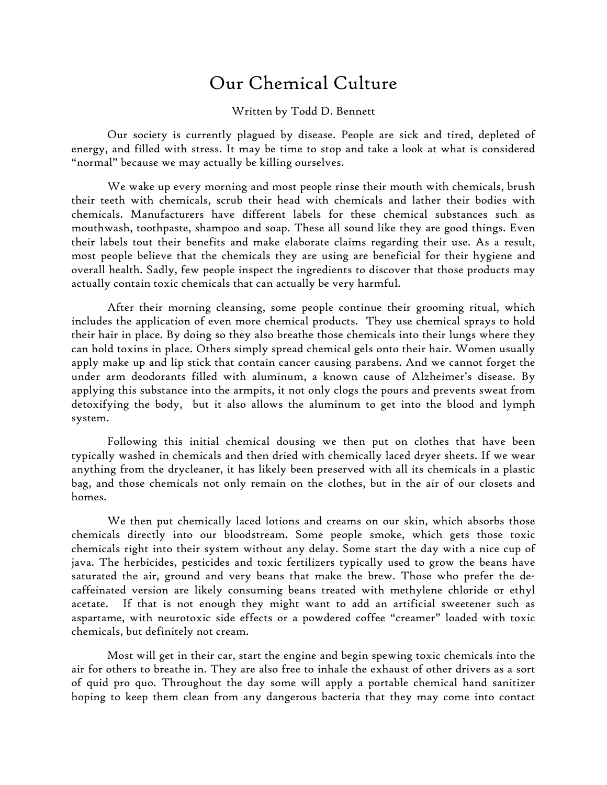## Our Chemical Culture

## Written by Todd D. Bennett

Our society is currently plagued by disease. People are sick and tired, depleted of energy, and filled with stress. It may be time to stop and take a look at what is considered "normal" because we may actually be killing ourselves.

We wake up every morning and most people rinse their mouth with chemicals, brush their teeth with chemicals, scrub their head with chemicals and lather their bodies with chemicals. Manufacturers have different labels for these chemical substances such as mouthwash, toothpaste, shampoo and soap. These all sound like they are good things. Even their labels tout their benefits and make elaborate claims regarding their use. As a result, most people believe that the chemicals they are using are beneficial for their hygiene and overall health. Sadly, few people inspect the ingredients to discover that those products may actually contain toxic chemicals that can actually be very harmful.

After their morning cleansing, some people continue their grooming ritual, which includes the application of even more chemical products. They use chemical sprays to hold their hair in place. By doing so they also breathe those chemicals into their lungs where they can hold toxins in place. Others simply spread chemical gels onto their hair. Women usually apply make up and lip stick that contain cancer causing parabens. And we cannot forget the under arm deodorants filled with aluminum, a known cause of Alzheimer's disease. By applying this substance into the armpits, it not only clogs the pours and prevents sweat from detoxifying the body, but it also allows the aluminum to get into the blood and lymph system.

Following this initial chemical dousing we then put on clothes that have been typically washed in chemicals and then dried with chemically laced dryer sheets. If we wear anything from the drycleaner, it has likely been preserved with all its chemicals in a plastic bag, and those chemicals not only remain on the clothes, but in the air of our closets and homes.

We then put chemically laced lotions and creams on our skin, which absorbs those chemicals directly into our bloodstream. Some people smoke, which gets those toxic chemicals right into their system without any delay. Some start the day with a nice cup of java. The herbicides, pesticides and toxic fertilizers typically used to grow the beans have saturated the air, ground and very beans that make the brew. Those who prefer the decaffeinated version are likely consuming beans treated with methylene chloride or ethyl acetate.If that is not enough they might want to add an artificial sweetener such as aspartame, with neurotoxic side effects or a powdered coffee "creamer" loaded with toxic chemicals, but definitely not cream.

Most will get in their car, start the engine and begin spewing toxic chemicals into the air for others to breathe in. They are also free to inhale the exhaust of other drivers as a sort of quid pro quo. Throughout the day some will apply a portable chemical hand sanitizer hoping to keep them clean from any dangerous bacteria that they may come into contact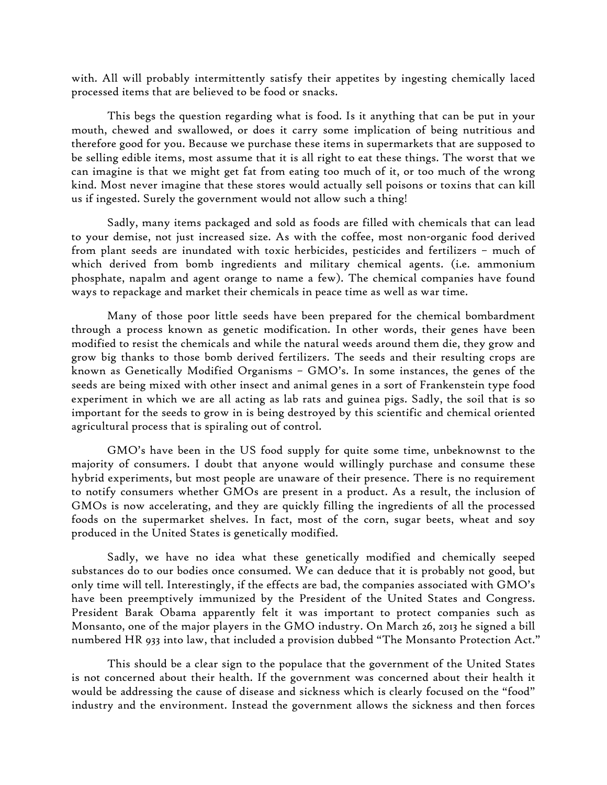with. All will probably intermittently satisfy their appetites by ingesting chemically laced processed items that are believed to be food or snacks.

This begs the question regarding what is food. Is it anything that can be put in your mouth, chewed and swallowed, or does it carry some implication of being nutritious and therefore good for you. Because we purchase these items in supermarkets that are supposed to be selling edible items, most assume that it is all right to eat these things. The worst that we can imagine is that we might get fat from eating too much of it, or too much of the wrong kind. Most never imagine that these stores would actually sell poisons or toxins that can kill us if ingested. Surely the government would not allow such a thing!

Sadly, many items packaged and sold as foods are filled with chemicals that can lead to your demise, not just increased size. As with the coffee, most non-organic food derived from plant seeds are inundated with toxic herbicides, pesticides and fertilizers – much of which derived from bomb ingredients and military chemical agents. (i.e. ammonium phosphate, napalm and agent orange to name a few). The chemical companies have found ways to repackage and market their chemicals in peace time as well as war time.

Many of those poor little seeds have been prepared for the chemical bombardment through a process known as genetic modification. In other words, their genes have been modified to resist the chemicals and while the natural weeds around them die, they grow and grow big thanks to those bomb derived fertilizers. The seeds and their resulting crops are known as Genetically Modified Organisms – GMO's. In some instances, the genes of the seeds are being mixed with other insect and animal genes in a sort of Frankenstein type food experiment in which we are all acting as lab rats and guinea pigs. Sadly, the soil that is so important for the seeds to grow in is being destroyed by this scientific and chemical oriented agricultural process that is spiraling out of control.

GMO's have been in the US food supply for quite some time, unbeknownst to the majority of consumers. I doubt that anyone would willingly purchase and consume these hybrid experiments, but most people are unaware of their presence. There is no requirement to notify consumers whether GMOs are present in a product. As a result, the inclusion of GMOs is now accelerating, and they are quickly filling the ingredients of all the processed foods on the supermarket shelves. In fact, most of the corn, sugar beets, wheat and soy produced in the United States is genetically modified.

Sadly, we have no idea what these genetically modified and chemically seeped substances do to our bodies once consumed. We can deduce that it is probably not good, but only time will tell. Interestingly, if the effects are bad, the companies associated with GMO's have been preemptively immunized by the President of the United States and Congress. President Barak Obama apparently felt it was important to protect companies such as Monsanto, one of the major players in the GMO industry. On March 26, 2013 he signed a bill numbered HR 933 into law, that included a provision dubbed "The Monsanto Protection Act."

This should be a clear sign to the populace that the government of the United States is not concerned about their health. If the government was concerned about their health it would be addressing the cause of disease and sickness which is clearly focused on the "food" industry and the environment. Instead the government allows the sickness and then forces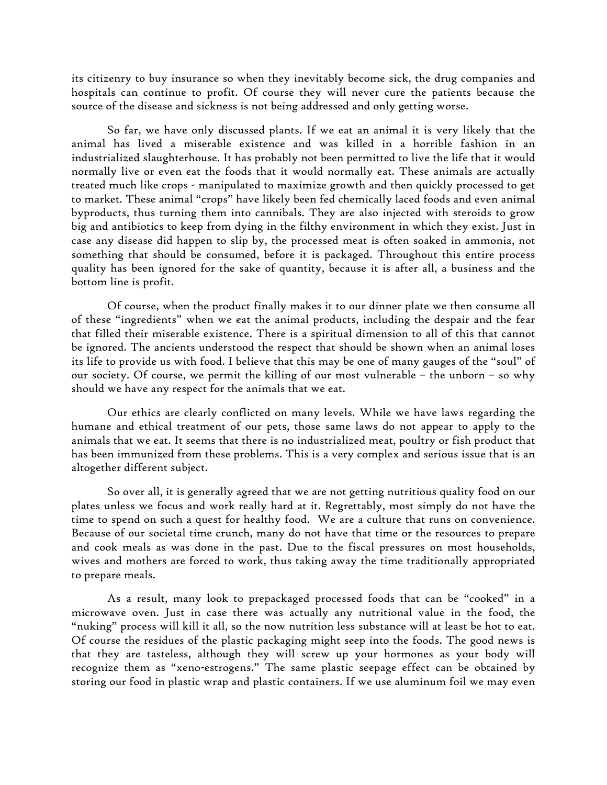its citizenry to buy insurance so when they inevitably become sick, the drug companies and hospitals can continue to profit. Of course they will never cure the patients because the source of the disease and sickness is not being addressed and only getting worse.

So far, we have only discussed plants. If we eat an animal it is very likely that the animal has lived a miserable existence and was killed in a horrible fashion in an industrialized slaughterhouse. It has probably not been permitted to live the life that it would normally live or even eat the foods that it would normally eat. These animals are actually treated much like crops - manipulated to maximize growth and then quickly processed to get to market. These animal "crops" have likely been fed chemically laced foods and even animal byproducts, thus turning them into cannibals. They are also injected with steroids to grow big and antibiotics to keep from dying in the filthy environment in which they exist. Just in case any disease did happen to slip by, the processed meat is often soaked in ammonia, not something that should be consumed, before it is packaged. Throughout this entire process quality has been ignored for the sake of quantity, because it is after all, a business and the bottom line is profit.

Of course, when the product finally makes it to our dinner plate we then consume all of these "ingredients" when we eat the animal products, including the despair and the fear that filled their miserable existence. There is a spiritual dimension to all of this that cannot be ignored. The ancients understood the respect that should be shown when an animal loses its life to provide us with food. I believe that this may be one of many gauges of the "soul" of our society. Of course, we permit the killing of our most vulnerable – the unborn – so why should we have any respect for the animals that we eat.

Our ethics are clearly conflicted on many levels. While we have laws regarding the humane and ethical treatment of our pets, those same laws do not appear to apply to the animals that we eat. It seems that there is no industrialized meat, poultry or fish product that has been immunized from these problems. This is a very complex and serious issue that is an altogether different subject.

So over all, it is generally agreed that we are not getting nutritious quality food on our plates unless we focus and work really hard at it. Regrettably, most simply do not have the time to spend on such a quest for healthy food. We are a culture that runs on convenience. Because of our societal time crunch, many do not have that time or the resources to prepare and cook meals as was done in the past. Due to the fiscal pressures on most households, wives and mothers are forced to work, thus taking away the time traditionally appropriated to prepare meals.

As a result, many look to prepackaged processed foods that can be "cooked" in a microwave oven. Just in case there was actually any nutritional value in the food, the "nuking" process will kill it all, so the now nutrition less substance will at least be hot to eat. Of course the residues of the plastic packaging might seep into the foods. The good news is that they are tasteless, although they will screw up your hormones as your body will recognize them as "xeno-estrogens." The same plastic seepage effect can be obtained by storing our food in plastic wrap and plastic containers. If we use aluminum foil we may even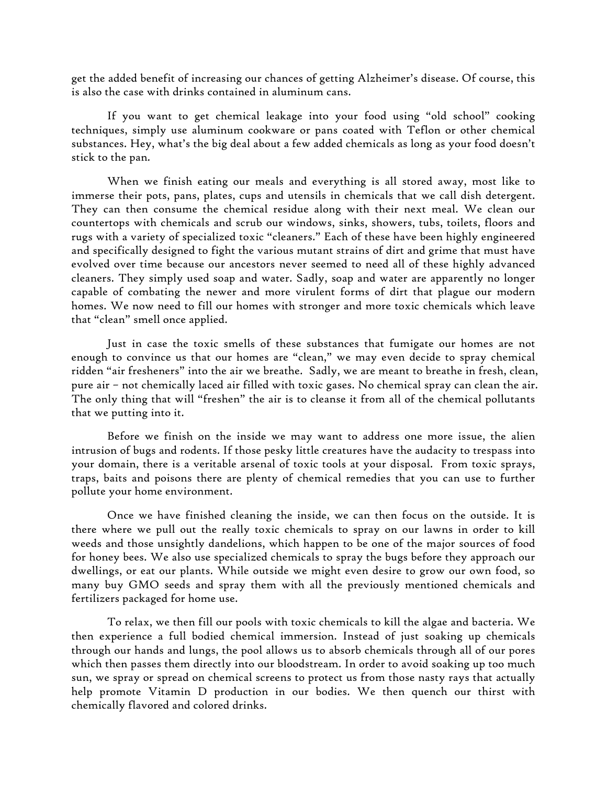get the added benefit of increasing our chances of getting Alzheimer's disease. Of course, this is also the case with drinks contained in aluminum cans.

If you want to get chemical leakage into your food using "old school" cooking techniques, simply use aluminum cookware or pans coated with Teflon or other chemical substances. Hey, what's the big deal about a few added chemicals as long as your food doesn't stick to the pan.

When we finish eating our meals and everything is all stored away, most like to immerse their pots, pans, plates, cups and utensils in chemicals that we call dish detergent. They can then consume the chemical residue along with their next meal. We clean our countertops with chemicals and scrub our windows, sinks, showers, tubs, toilets, floors and rugs with a variety of specialized toxic "cleaners." Each of these have been highly engineered and specifically designed to fight the various mutant strains of dirt and grime that must have evolved over time because our ancestors never seemed to need all of these highly advanced cleaners. They simply used soap and water. Sadly, soap and water are apparently no longer capable of combating the newer and more virulent forms of dirt that plague our modern homes. We now need to fill our homes with stronger and more toxic chemicals which leave that "clean" smell once applied.

Just in case the toxic smells of these substances that fumigate our homes are not enough to convince us that our homes are "clean," we may even decide to spray chemical ridden "air fresheners" into the air we breathe. Sadly, we are meant to breathe in fresh, clean, pure air – not chemically laced air filled with toxic gases. No chemical spray can clean the air. The only thing that will "freshen" the air is to cleanse it from all of the chemical pollutants that we putting into it.

Before we finish on the inside we may want to address one more issue, the alien intrusion of bugs and rodents. If those pesky little creatures have the audacity to trespass into your domain, there is a veritable arsenal of toxic tools at your disposal. From toxic sprays, traps, baits and poisons there are plenty of chemical remedies that you can use to further pollute your home environment.

Once we have finished cleaning the inside, we can then focus on the outside. It is there where we pull out the really toxic chemicals to spray on our lawns in order to kill weeds and those unsightly dandelions, which happen to be one of the major sources of food for honey bees. We also use specialized chemicals to spray the bugs before they approach our dwellings, or eat our plants. While outside we might even desire to grow our own food, so many buy GMO seeds and spray them with all the previously mentioned chemicals and fertilizers packaged for home use.

To relax, we then fill our pools with toxic chemicals to kill the algae and bacteria. We then experience a full bodied chemical immersion. Instead of just soaking up chemicals through our hands and lungs, the pool allows us to absorb chemicals through all of our pores which then passes them directly into our bloodstream. In order to avoid soaking up too much sun, we spray or spread on chemical screens to protect us from those nasty rays that actually help promote Vitamin D production in our bodies. We then quench our thirst with chemically flavored and colored drinks.